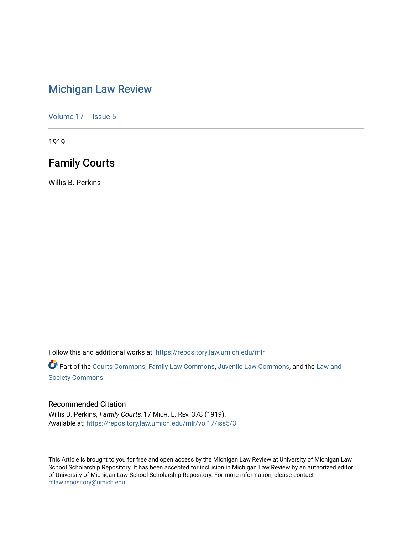# [Michigan Law Review](https://repository.law.umich.edu/mlr)

[Volume 17](https://repository.law.umich.edu/mlr/vol17) | [Issue 5](https://repository.law.umich.edu/mlr/vol17/iss5)

1919

# Family Courts

Willis B. Perkins

Follow this and additional works at: [https://repository.law.umich.edu/mlr](https://repository.law.umich.edu/mlr?utm_source=repository.law.umich.edu%2Fmlr%2Fvol17%2Fiss5%2F3&utm_medium=PDF&utm_campaign=PDFCoverPages) 

Part of the [Courts Commons,](http://network.bepress.com/hgg/discipline/839?utm_source=repository.law.umich.edu%2Fmlr%2Fvol17%2Fiss5%2F3&utm_medium=PDF&utm_campaign=PDFCoverPages) [Family Law Commons,](http://network.bepress.com/hgg/discipline/602?utm_source=repository.law.umich.edu%2Fmlr%2Fvol17%2Fiss5%2F3&utm_medium=PDF&utm_campaign=PDFCoverPages) [Juvenile Law Commons](http://network.bepress.com/hgg/discipline/851?utm_source=repository.law.umich.edu%2Fmlr%2Fvol17%2Fiss5%2F3&utm_medium=PDF&utm_campaign=PDFCoverPages), and the Law and [Society Commons](http://network.bepress.com/hgg/discipline/853?utm_source=repository.law.umich.edu%2Fmlr%2Fvol17%2Fiss5%2F3&utm_medium=PDF&utm_campaign=PDFCoverPages)

### Recommended Citation

Willis B. Perkins, Family Courts, 17 MICH. L. REV. 378 (1919). Available at: [https://repository.law.umich.edu/mlr/vol17/iss5/3](https://repository.law.umich.edu/mlr/vol17/iss5/3?utm_source=repository.law.umich.edu%2Fmlr%2Fvol17%2Fiss5%2F3&utm_medium=PDF&utm_campaign=PDFCoverPages)

This Article is brought to you for free and open access by the Michigan Law Review at University of Michigan Law School Scholarship Repository. It has been accepted for inclusion in Michigan Law Review by an authorized editor of University of Michigan Law School Scholarship Repository. For more information, please contact [mlaw.repository@umich.edu.](mailto:mlaw.repository@umich.edu)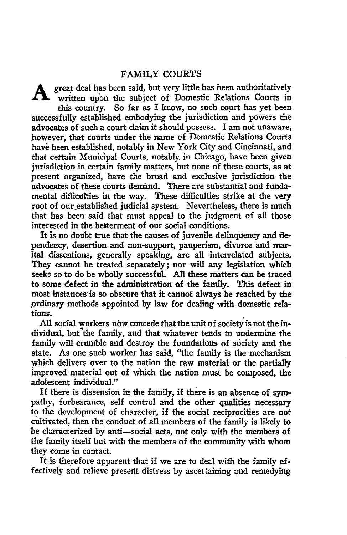### FAMILY COURTS

A great deal has been said, but very little has been authoritatively written upon the subject of Domestic Relations Courts in this country. So far as I know, no such court has yet been successfully established embodying the jurisdiction and powers the advocates of such a court claim it should possess. I am not unaware, however, that courts under the name cf Domestic Relations Courts have been established, notably in New York City and Cincinnati, and that certain Municipal Courts, notably in Chicago, have been given jurisdiction in certain family matters, but none of these courts, as at present organized, have the broad and exclusive jurisdiction the advocates of these courts demand. There are substantial and fundamental difficulties in the way. These difficulties strike at the very root of our established judicial system. Nevertheless, there is much that has been said that must appeal to the judgment of all those interested in the betterment of our social conditions.

It is no doubt true that the causes of juvenile delinquency and dependency, desertion and non-support, pauperism, divorce and marital dissentions, generally speaking, are all interrelated subjects. They cannot be treated separately; nor will any legislation which seeks so to do be wholly successful. All these matters can be traced to some defect in the administration of the family. This defect in most instances is so obscure that it cannot always be reached by the ordinary methods appointed by law for dealing with domestic relations.

All social workers now concede that the unit of society is not the individual, but the family, and that whatever tends to undermine the family will crumble and destroy the foundations of society and the state. As one such worker has said, "the family is the mechanism which delivers over to the nation the raw material or the partially improved material out of which the nation must be composed, the adolescent individual."

If there is dissension in the family, if there is an absence of sympathy, forbearance, self control and the other qualities necessary to the development of character, if the social reciprocities are not cultivated, then the conduct of all members of the family is likely to be characterized by anti-social acts, not only with the members of the family itself but with the members of the community with whom they come in contact.

It is therefore apparent that if we are to deal with the family effectively and relieve present distress by ascertaining and remedying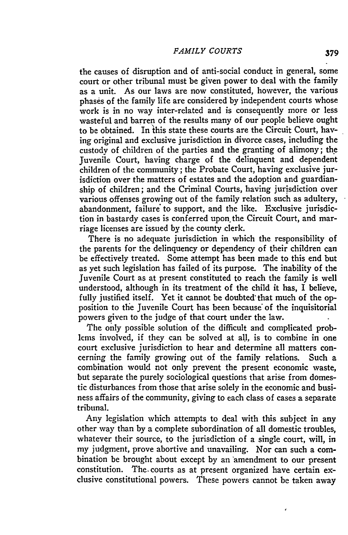#### *FAMILY COURTS* **379**

the causes of disruption and of anti-social conduct in general, some court or other tribunal must be given power to deal with the family as a unit. As our laws are now constituted, however, the various phases of the family life are considered by independent courts whose work is in no way inter-related and is consequently more or less wasteful and barren of the results many of our people believe ought to be obtained. In this state these courts are the Circuit Court, having original and exclusive jurisdiction in divorce cases, including the custody of children of the parties and the granting of alimony; the Juvenile Court, having charge of the delinquent and dependent children of the community ; the Probate Court, having exclusive jurisdiction over the matters of estates and the adoption and guardianship of children; and the Criminal Courts, having jurjsdiction over various offenses growing out of the family relation such as adultery, abandonment, failure' to support, and the like. Exclusive jurisdiction in bastardy cases is conferred upon. the Circuit Court, and marriage licenses are issued by the county clerk.

There is no adequate jurisdiction in which the responsibility of the parents for the delinquency or dependency of their children can be effectively treated. Some attempt has been made to this end but as yet such legislation has failed of its purpose. The inability of the Juvenile Court as at present constituted to reach the family is well understood, although in its treatment of the child it has, I believe, fully justified itself. Yet it cannot be doubted that much of the opposition to the Juvenile Court has been because of the inquisitorial powers given to the judge of that court under the law.

The only possible solution of the difficult and complicated problems involved, if they can be solved at all, is to combine in one court exclusive jurisdiction to hear and determine all matters concerning the family growing out of the family relations. Such a combination would not only prevent the present economic waste, but separate the purely sociological questions that arise from domestic disturbances from those that arise solely in the economic and business affairs of the community, giving to each class of cases a separate tribunal.

Any legislation which attempts to deal with this subject in any other way than by a complete subordination of all domestic troubles, whatever their source, to the jurisdiction of a single court, will, in my judgment, prove abortive and unavailing. Nor can such a combination be brought about except by an amendment to our present constitution. The. courts as at present organized have certain exclusive constitutional powers. These powers cannot be taken away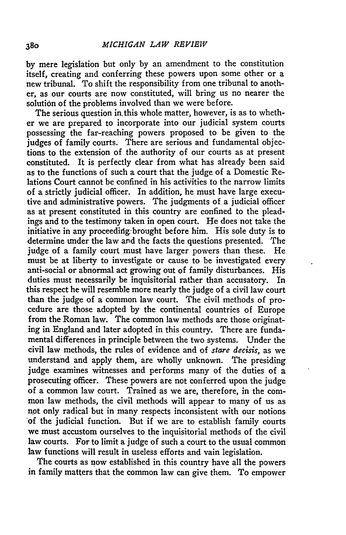by mere legislation but only by an amendment to the constitution itself, creating and conferring these powers upon some other or a new tribunal. To shift the responsibility from one tribunal to another, as our courts are now constituted, will bring us no nearer the solution of the problems involved than we were before.

The serious question in this whole matter, however, is as to whether we are prepared to incorporate into our judicial system courts possessing the far-reaching powers proposed to be given to the judges of family courts. There are serious and fundamental objections to the extension of the authority of our courts as at present constituted. It is perfectly clear from what has already been said as to the functions of such a court that the judge of a Domestic Relations Court cannot be confined in his activities to the narrow limits of a strictly judicial officer. In addition, he must have large executive and administrative powers. The judgments of a judicial officer as at present constituted in this country are confined to the pleadings and to the testimony taken in open court. He does not take the initiative in any proceeding: brought before him. His sole duty is to determine under the law and the facts the questions presented. The judge of a family court must have larger powers than these. He must be at liberty to investigate or cause to be investigated every anti-social or abnormal act growing out of family disturbances. His duties must necessarily be inquisitorial rather than accusatory. In this respect he will resemble more nearly the judge of a civil law court than the judge of a common law court. The civil methods of procedure are those adopted by the continental countries of Europe from the Roman law. The common law methods are those originating in England and later adopted in this country. There are fundamental differences in principle between the two systems. Under the civil law methods, the rules of evidence and of *stare decisis,* as we understand and apply them, are wholly unknown. The presiding judge examines witnesses and performs many of the duties of a prosecuting officer. These powers are not conferred upon the judge of a common law court. Trained as we are, therefore, in the common law methods, the civil methods will appear to many of us as not only radical but in many respects inconsistent with our notions 'of the judicial function. But if we are to establish family courts we must accustom ourselves to the inquisitorial methods of the civil law courts. For to limit a judge of such a court to the usual common law functions will result in useless efforts and vain legislation.

The courts as now established in this country have all the powers in family matters that the common law can give them. To empower